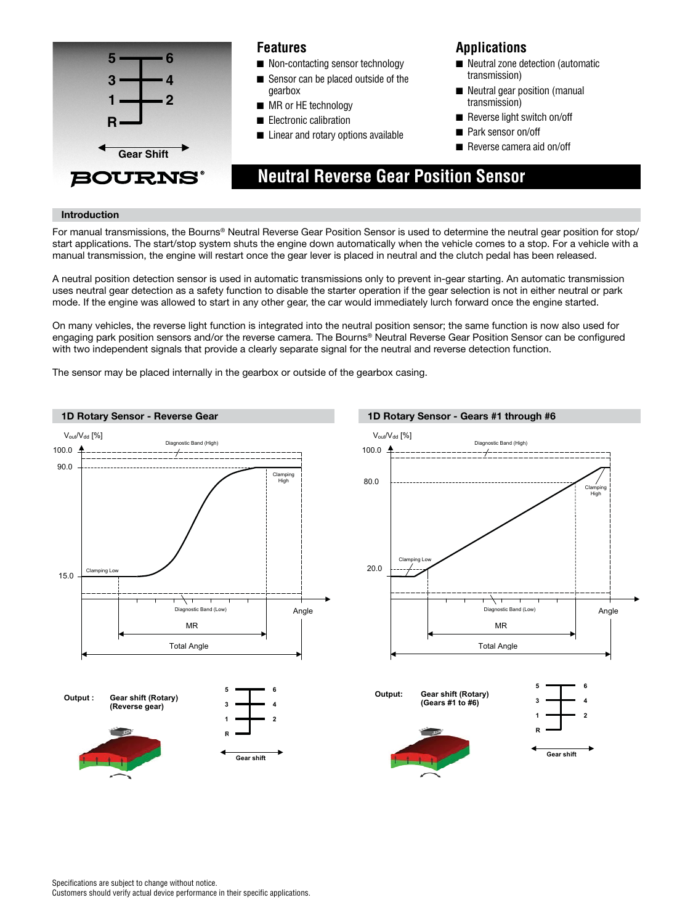

# **Introduction**

For manual transmissions, the Bourns® Neutral Reverse Gear Position Sensor is used to determine the neutral gear position for stop/ start applications. The start/stop system shuts the engine down automatically when the vehicle comes to a stop. For a vehicle with a manual transmission, the engine will restart once the gear lever is placed in neutral and the clutch pedal has been released.

A neutral position detection sensor is used in automatic transmissions only to prevent in-gear starting. An automatic transmission uses neutral gear detection as a safety function to disable the starter operation if the gear selection is not in either neutral or park mode. If the engine was allowed to start in any other gear, the car would immediately lurch forward once the engine started.

On many vehicles, the reverse light function is integrated into the neutral position sensor; the same function is now also used for engaging park position sensors and/or the reverse camera. The Bourns® Neutral Reverse Gear Position Sensor can be configured with two independent signals that provide a clearly separate signal for the neutral and reverse detection function.

The sensor may be placed internally in the gearbox or outside of the gearbox casing.